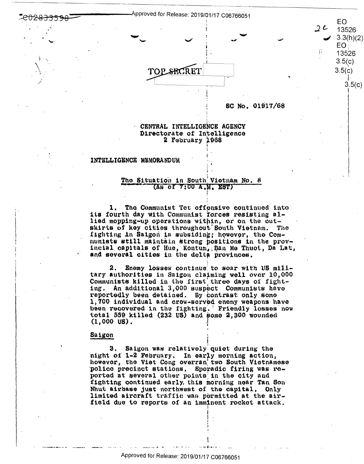Approved for Release: 2019/01/17 C06766051



SC No. 01917/68

EO.

13526  $3.3(h)/2$ **EO** 

13526  $3.5(c)$  $3.5(c)$ 

 $3.5($ 

 $2c$ 

芥

# CENTRAL INTELLIGENCE AGENCY Directorate of Intelligence 2 February 1968

#### INTELLIGENCE MEMORANDUM

# The Situation in South Vietnam No. 8  $(As$  of  $7:00$   $A$ ,  $M$ ,  $EST$ )

1. The Communist Tet offensive continued into its fourth day with Communist forces resisting allied mopping-up operations within, or on the outskirts of key cities throughout South Vietnam. **The** fighting in Saigon is subsiding; however, the Communists still maintain strong positions in the provincial capitals of Hue, Kontum, Ban Me Thuot, Da Lat, and several cities in the delta provinces.

Enemy losses continue to soar with US mili-2. tary authorities in Saigon claiming well over 10,000 Communists killed in the first three days of fighting. An additional 3,000 suspect Communists have reportedly been detained. By contrast only some 1,700 individual and crow-served enemy weapons have been recovered in the fighting. Friendly losses now total 559 killed (232 US) and some 2,300 wounded  $(1,000 \t{US}).$ 

### Saigon

Saigon was relatively quiet during the З. night of 1-2 February. In early morning action, however, the Viet Cong overran two South Vietnamese police precinct stations. Sporadic firing was reported at several other points in the city and fighting continued early, this morning near Tan Son Nhut airbase just northwest of the capital. Only limited aircraft traffic was permitted at the airfield due to reports of an imminent rocket attack.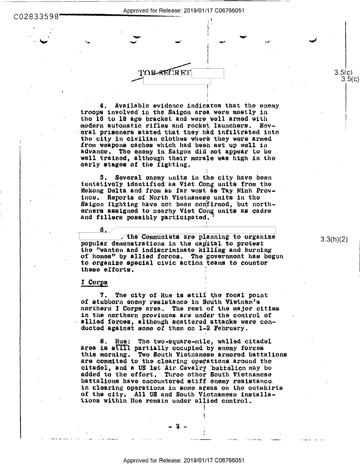Approved for Release: 2019/01/17 C06766051

# C02833598

Available evidence indicates that the enemy  $4.$ troops involved in the Saigon area were mostly in the 16 to 18 age bracket and were well armed with modern automatic rifles and rocket launchers. Soveral prisoners stated that they had infiltrated into the city in civilian clothes where they were armed from weapons caches which had been set up well in advance. The enemy in Saigon did not appear to be well trained, although their morale was high in the early stages of the fighting.

TOPSECRET

5. Several onemy units in the city have been tentatively identified as Viet Cong units from the Mekong Delta and from as far west as Tay Ninh Province. Reports of North Vietnamese units in the Saigon fighting have not been confirmed, but northorners assigned to nearby Viet Cong units as cadre and fillers possibly participated.

the Communists are planning to organize popular demonstrations in the capital to protest the "wanton and indiscriminate killing and burning of homes" by allied forces. The government has begun to organize special civic action teams to counter these efforts.

#### I Corps

The city of Hue is still the focal point of stubborn enemy resistance in South Vietnam's northern I Corps area. The rest of the major cities in the northern provinces are under the control of allied forces, although scattered attacks were conducted against some of them on 1-2 February.

8. Hue: The two-square-mile, walled citadel area is still partially occupied by enemy forces this morning. Two South Vietnamese armored battalions are commited to the clearing operations around the citadel, and a US lst Air Cavalry battalion may be added to the effort. Three other South Vietnamese battalions have encountered stiff enemy resistance. in clearing operations in some areas on the outskirts of the city. All US and South Victnamese installations within Hue remain under allied control.

 $3.3(h)(2)$ 

 $3.5(c)$  $3.5(c)$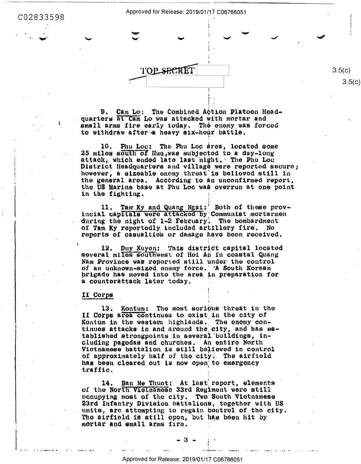C02833598

Approved for Release: 2019/01/17 C06766051



9. Cam Lo: The Combined Action Platoon Headquarters at Cam Lo was attacked with mortar and small arms fire early today. The enemy was forced to withdraw after a heavy six-hour battle.

10. Phu Loc: The Phu Loc area, located some 25 miles south of Hue, was subjected to a day-long attack, which ended late last night. The Phu Loc District Headquarters and village were reported secure; however, a sizeable enemy threat is believed still in the general area. According to an unconfirmed report, the US Marine base at Phu Loc was overrun at one point in the fighting.

Tam Ky and Quang Ngai:' Both of these prov-incial capitals were attacked by Communist mortarmen during the night of 1-2 February. The bombardment of Tam Ky reportedly included artillery fire. No reports of casualties or damage have been received.

Duy Xuyen: This district capital located 12. several miles southwest of Hoi An in coastal Quang Nam Province was reported still under the control of an unknown-sized enemy force. 'A South Korean prigade has moved into the area in preparation for a counterattack later today.

### II Corps

13. Kontum: The most serious threat in the II Corps area continues to exist in the city of Kontum in the western highlands. The enemy continues attacks in and around the city, and has established strongpoints in several buildings, including pagodas and churches. An entire North<br>Vietnamese battalion is still believed in control of approximately half of the city. The airfield has been cleared out is now open to emergency traffic.

Ban Me Thuot: At last report, elements 14. of the North Vietnamese 33rd Regiment were still occupying most of the city. Two South Vietnamese 23rd Infantry Division battalions, together with US units, are attempting to regain control of the city. The airfield is still open, but has been hit by mortar and small arms fire.

 $3.5(c)$  $3.5(c)$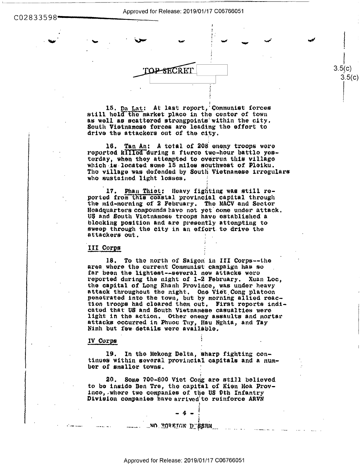Approved for Release: 2019/01/17 C06766051





 $3.5(c)$ 

 $3.5(c)$ 

15. Da Lat: At last report, Communist forces still hold the market place in the center of town as well as scattered strongpoints within the city. South Vietnamese forces are leading the effort to drive the attackers out of the city.

16. Tan An: A total of 208 enemy troops were reported killed during a fierce two-hour battle yesterday, when they attempted to overrun this village which is located some 15 miles southwest of Pleiku. The village was defended by South Vietnamese irregulars who sustained light losses.

17. Phan Thiet: Heavy fighting was still reported from this coastal provincial capital through the mid-morning of 2 February. The MACV and Sector Headquarters compounds have not yet come under attack. US and South Victnamose troops have established a blocking position and are presently attempting to sweep through the city in an effort to drive the attackers out.

# III Corps

18. To the north of Saigon in III Corps--the area where the current Communist campaign has so far been the lightest--several new attacks were reported during the night of 1-2 February. Xuan Loc, the capital of Long Khanh Province, was under heavy attack throughout the night. One Viet Cong platoon penetrated into the town, but by morning allied reaction troops had cleared them out. First reports indicated that US and South Vietnamese casualties were light in the action. Other enemy assaults and mortar attacks occurred in Phuoc Tuy, Hau Nghia, and Tay Ninh but few details were available.

#### IV Corps

19. In the Mekong Delta, sharp fighting continues within several provincial capitals and a number of smaller towns.

20. Some 700-800 Viet Cong are still believed to be inside Ben Tre, the capital of Kien Hoa Province, where two companies of the US 9th Infantry Division companies have arrived to reinforce ARVN

# **MO ROREIGN DIESEM....**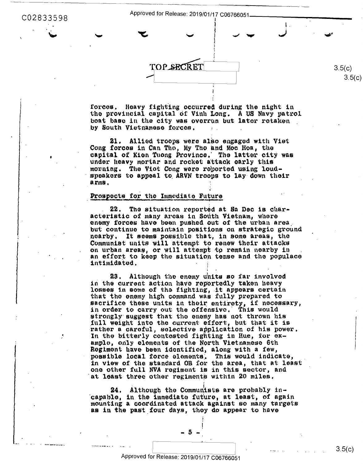C02833598

Approved for Release: 2019/01/17 C06766051

TOP SECRET

forces. Heavy fighting occurred during the night in the provincial capital of Vinh Long. A US Navy patrol boat base in the city was overrun but later retaken by South Vietnamese forces.

Allied troops were also engaged with Viet 21. Cong forces in Can Tho, My Tho and Moc Hoa, the capital of Kien Tuong Province. The latter city was under heavy mortar and rocket attack early this morning. The Vict Cong were reported using loudspeakers to appeal to ARVN troops to lay down their arms.

# Prospects for the Immediate Future

The situation reported at Sa Dec is char-22. acteristic of many areas in South Vietnam, where enemy forces have been pushed out of the urban area. but continue to maintain positions on strategic ground nearby. It seems possible that, in some areas, the Communist units will attempt to renew their attacks on urban areas, or will attempt to remain nearby in an effort to keep the situation tense and the populace intimidated.

23. Although the enemy units so far involved in the current action have reportedly taken heavy losses in some of the fighting, it appears certain that the enemy high command was fully prepared to sacrifice these units in their entirety, if necessary, in order to carry out the offensive. This would strongly suggest that the enemy has not thrown his full weight into the current effort, but that it is rather a careful, selective application of his power. In the bitterly contested fighting in Hue, for example, only elements of the North Vietnamese 6th Rogimont have been identified, along with a few, possible local force elements. This would indicate, in view of the standard OB for the area, that at least one other full NVA regiment is in this sector, and at least three other regiments within 20 miles.

24. Although the Communists are probably incapable, in the immediate future, at least, of again mounting a coordinated attack against so many targets as in the past four days, they do appear to have

Approved for Release: 2019/01/17 C06766051

 $3.5(c)$ 

 $3.5(c)$  $3.5(c)$